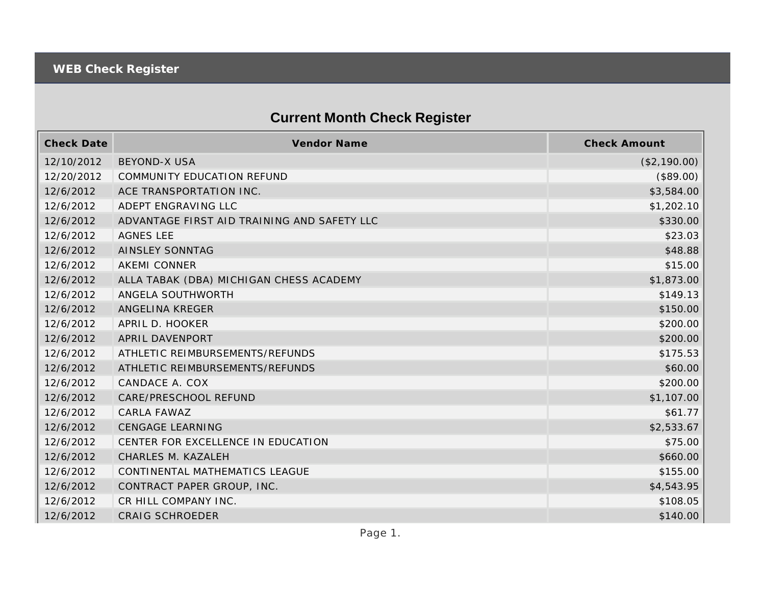## **Current Month Check Register**

| <b>Check Date</b> | <b>Vendor Name</b>                          | <b>Check Amount</b> |
|-------------------|---------------------------------------------|---------------------|
| 12/10/2012        | <b>BEYOND-X USA</b>                         | (\$2,190.00)        |
| 12/20/2012        | <b>COMMUNITY EDUCATION REFUND</b>           | (\$89.00)           |
| 12/6/2012         | ACE TRANSPORTATION INC.                     | \$3,584.00          |
| 12/6/2012         | ADEPT ENGRAVING LLC                         | \$1,202.10          |
| 12/6/2012         | ADVANTAGE FIRST AID TRAINING AND SAFETY LLC | \$330.00            |
| 12/6/2012         | <b>AGNES LEE</b>                            | \$23.03             |
| 12/6/2012         | <b>AINSLEY SONNTAG</b>                      | \$48.88             |
| 12/6/2012         | <b>AKEMI CONNER</b>                         | \$15.00             |
| 12/6/2012         | ALLA TABAK (DBA) MICHIGAN CHESS ACADEMY     | \$1,873.00          |
| 12/6/2012         | ANGELA SOUTHWORTH                           | \$149.13            |
| 12/6/2012         | ANGELINA KREGER                             | \$150.00            |
| 12/6/2012         | APRIL D. HOOKER                             | \$200.00            |
| 12/6/2012         | APRIL DAVENPORT                             | \$200.00            |
| 12/6/2012         | ATHLETIC REIMBURSEMENTS/REFUNDS             | \$175.53            |
| 12/6/2012         | ATHLETIC REIMBURSEMENTS/REFUNDS             | \$60.00             |
| 12/6/2012         | CANDACE A. COX                              | \$200.00            |
| 12/6/2012         | CARE/PRESCHOOL REFUND                       | \$1,107.00          |
| 12/6/2012         | CARLA FAWAZ                                 | \$61.77             |
| 12/6/2012         | <b>CENGAGE LEARNING</b>                     | \$2,533.67          |
| 12/6/2012         | CENTER FOR EXCELLENCE IN EDUCATION          | \$75.00             |
| 12/6/2012         | CHARLES M. KAZALEH                          | \$660.00            |
| 12/6/2012         | CONTINENTAL MATHEMATICS LEAGUE              | \$155.00            |
| 12/6/2012         | CONTRACT PAPER GROUP, INC.                  | \$4,543.95          |
| 12/6/2012         | CR HILL COMPANY INC.                        | \$108.05            |
| 12/6/2012         | <b>CRAIG SCHROEDER</b>                      | \$140.00            |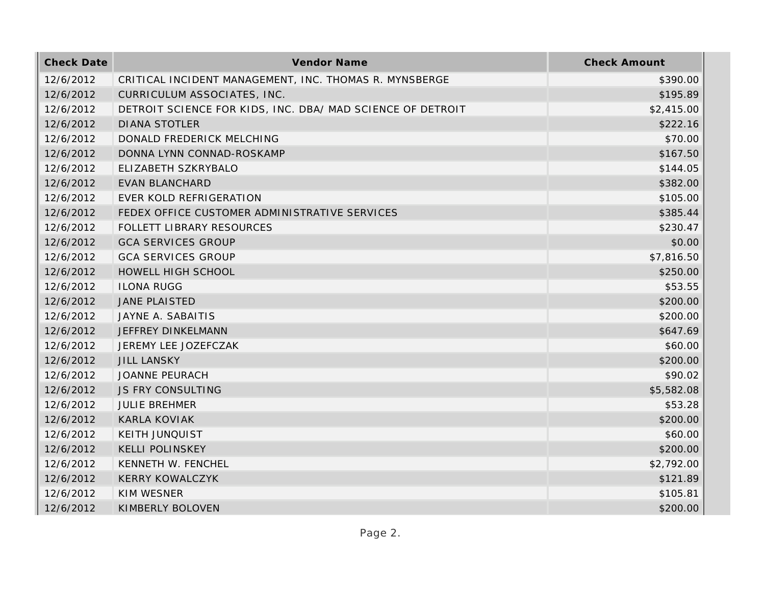| <b>Check Date</b> | Vendor Name                                                | <b>Check Amount</b> |
|-------------------|------------------------------------------------------------|---------------------|
| 12/6/2012         | CRITICAL INCIDENT MANAGEMENT, INC. THOMAS R. MYNSBERGE     | \$390.00            |
| 12/6/2012         | CURRICULUM ASSOCIATES, INC.                                | \$195.89            |
| 12/6/2012         | DETROIT SCIENCE FOR KIDS, INC. DBA/ MAD SCIENCE OF DETROIT | \$2,415.00          |
| 12/6/2012         | <b>DIANA STOTLER</b>                                       | \$222.16            |
| 12/6/2012         | DONALD FREDERICK MELCHING                                  | \$70.00             |
| 12/6/2012         | DONNA LYNN CONNAD-ROSKAMP                                  | \$167.50            |
| 12/6/2012         | ELIZABETH SZKRYBALO                                        | \$144.05            |
| 12/6/2012         | <b>EVAN BLANCHARD</b>                                      | \$382.00            |
| 12/6/2012         | EVER KOLD REFRIGERATION                                    | \$105.00            |
| 12/6/2012         | FEDEX OFFICE CUSTOMER ADMINISTRATIVE SERVICES              | \$385.44            |
| 12/6/2012         | FOLLETT LIBRARY RESOURCES                                  | \$230.47            |
| 12/6/2012         | <b>GCA SERVICES GROUP</b>                                  | \$0.00              |
| 12/6/2012         | <b>GCA SERVICES GROUP</b>                                  | \$7,816.50          |
| 12/6/2012         | HOWELL HIGH SCHOOL                                         | \$250.00            |
| 12/6/2012         | <b>ILONA RUGG</b>                                          | \$53.55             |
| 12/6/2012         | <b>JANE PLAISTED</b>                                       | \$200.00            |
| 12/6/2012         | JAYNE A. SABAITIS                                          | \$200.00            |
| 12/6/2012         | JEFFREY DINKELMANN                                         | \$647.69            |
| 12/6/2012         | JEREMY LEE JOZEFCZAK                                       | \$60.00             |
| 12/6/2012         | <b>JILL LANSKY</b>                                         | \$200.00            |
| 12/6/2012         | <b>JOANNE PEURACH</b>                                      | \$90.02             |
| 12/6/2012         | JS FRY CONSULTING                                          | \$5,582.08          |
| 12/6/2012         | <b>JULIE BREHMER</b>                                       | \$53.28             |
| 12/6/2012         | <b>KARLA KOVIAK</b>                                        | \$200.00            |
| 12/6/2012         | <b>KEITH JUNQUIST</b>                                      | \$60.00             |
| 12/6/2012         | <b>KELLI POLINSKEY</b>                                     | \$200.00            |
| 12/6/2012         | KENNETH W. FENCHEL                                         | \$2,792.00          |
| 12/6/2012         | <b>KERRY KOWALCZYK</b>                                     | \$121.89            |
| 12/6/2012         | KIM WESNER                                                 | \$105.81            |
| 12/6/2012         | KIMBERLY BOLOVEN                                           | \$200.00            |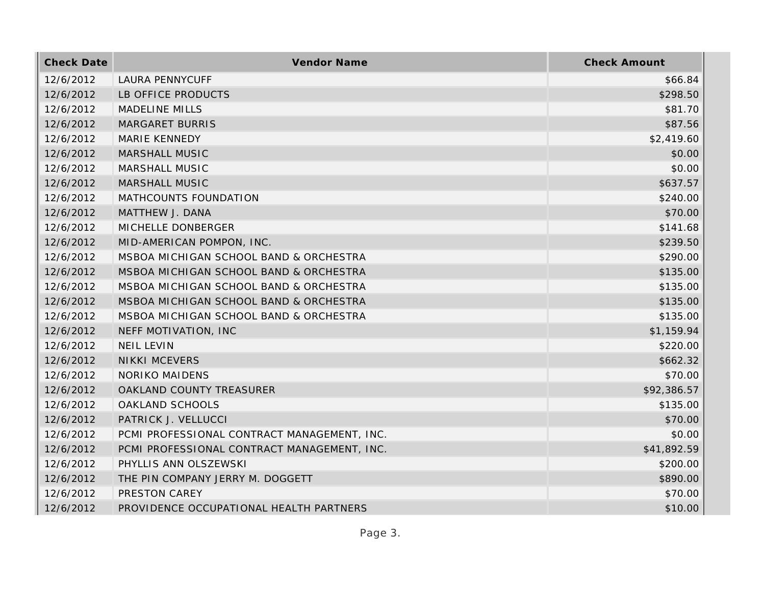| <b>Check Date</b> | Vendor Name                                 | <b>Check Amount</b> |
|-------------------|---------------------------------------------|---------------------|
| 12/6/2012         | <b>LAURA PENNYCUFF</b>                      | \$66.84             |
| 12/6/2012         | LB OFFICE PRODUCTS                          | \$298.50            |
| 12/6/2012         | <b>MADELINE MILLS</b>                       | \$81.70             |
| 12/6/2012         | <b>MARGARET BURRIS</b>                      | \$87.56             |
| 12/6/2012         | <b>MARIE KENNEDY</b>                        | \$2,419.60          |
| 12/6/2012         | <b>MARSHALL MUSIC</b>                       | \$0.00              |
| 12/6/2012         | <b>MARSHALL MUSIC</b>                       | \$0.00              |
| 12/6/2012         | <b>MARSHALL MUSIC</b>                       | \$637.57            |
| 12/6/2012         | MATHCOUNTS FOUNDATION                       | \$240.00            |
| 12/6/2012         | MATTHEW J. DANA                             | \$70.00             |
| 12/6/2012         | MICHELLE DONBERGER                          | \$141.68            |
| 12/6/2012         | MID-AMERICAN POMPON, INC.                   | \$239.50            |
| 12/6/2012         | MSBOA MICHIGAN SCHOOL BAND & ORCHESTRA      | \$290.00            |
| 12/6/2012         | MSBOA MICHIGAN SCHOOL BAND & ORCHESTRA      | \$135.00            |
| 12/6/2012         | MSBOA MICHIGAN SCHOOL BAND & ORCHESTRA      | \$135.00            |
| 12/6/2012         | MSBOA MICHIGAN SCHOOL BAND & ORCHESTRA      | \$135.00            |
| 12/6/2012         | MSBOA MICHIGAN SCHOOL BAND & ORCHESTRA      | \$135.00            |
| 12/6/2012         | NEFF MOTIVATION, INC                        | \$1,159.94          |
| 12/6/2012         | <b>NEIL LEVIN</b>                           | \$220.00            |
| 12/6/2012         | <b>NIKKI MCEVERS</b>                        | \$662.32            |
| 12/6/2012         | <b>NORIKO MAIDENS</b>                       | \$70.00             |
| 12/6/2012         | OAKLAND COUNTY TREASURER                    | \$92,386.57         |
| 12/6/2012         | OAKLAND SCHOOLS                             | \$135.00            |
| 12/6/2012         | PATRICK J. VELLUCCI                         | \$70.00             |
| 12/6/2012         | PCMI PROFESSIONAL CONTRACT MANAGEMENT, INC. | \$0.00              |
| 12/6/2012         | PCMI PROFESSIONAL CONTRACT MANAGEMENT, INC. | \$41,892.59         |
| 12/6/2012         | PHYLLIS ANN OLSZEWSKI                       | \$200.00            |
| 12/6/2012         | THE PIN COMPANY JERRY M. DOGGETT            | \$890.00            |
| 12/6/2012         | PRESTON CAREY                               | \$70.00             |
| 12/6/2012         | PROVIDENCE OCCUPATIONAL HEALTH PARTNERS     | \$10.00             |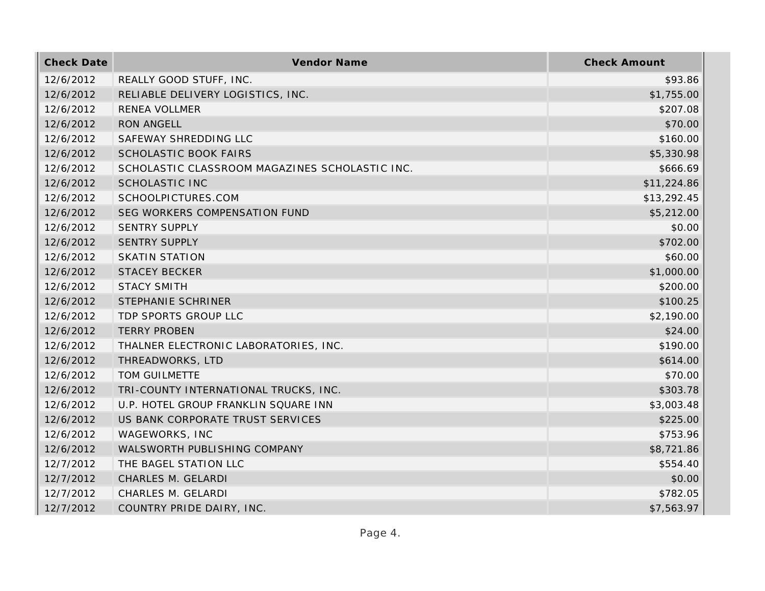| <b>Check Date</b> | Vendor Name                                    | <b>Check Amount</b> |
|-------------------|------------------------------------------------|---------------------|
| 12/6/2012         | REALLY GOOD STUFF, INC.                        | \$93.86             |
| 12/6/2012         | RELIABLE DELIVERY LOGISTICS, INC.              | \$1,755.00          |
| 12/6/2012         | <b>RENEA VOLLMER</b>                           | \$207.08            |
| 12/6/2012         | <b>RON ANGELL</b>                              | \$70.00             |
| 12/6/2012         | SAFEWAY SHREDDING LLC                          | \$160.00            |
| 12/6/2012         | SCHOLASTIC BOOK FAIRS                          | \$5,330.98          |
| 12/6/2012         | SCHOLASTIC CLASSROOM MAGAZINES SCHOLASTIC INC. | \$666.69            |
| 12/6/2012         | <b>SCHOLASTIC INC</b>                          | \$11,224.86         |
| 12/6/2012         | SCHOOLPICTURES.COM                             | \$13,292.45         |
| 12/6/2012         | SEG WORKERS COMPENSATION FUND                  | \$5,212.00          |
| 12/6/2012         | <b>SENTRY SUPPLY</b>                           | \$0.00              |
| 12/6/2012         | <b>SENTRY SUPPLY</b>                           | \$702.00            |
| 12/6/2012         | <b>SKATIN STATION</b>                          | \$60.00             |
| 12/6/2012         | <b>STACEY BECKER</b>                           | \$1,000.00          |
| 12/6/2012         | <b>STACY SMITH</b>                             | \$200.00            |
| 12/6/2012         | STEPHANIE SCHRINER                             | \$100.25            |
| 12/6/2012         | TDP SPORTS GROUP LLC                           | \$2,190.00          |
| 12/6/2012         | <b>TERRY PROBEN</b>                            | \$24.00             |
| 12/6/2012         | THALNER ELECTRONIC LABORATORIES, INC.          | \$190.00            |
| 12/6/2012         | THREADWORKS, LTD                               | \$614.00            |
| 12/6/2012         | TOM GUILMETTE                                  | \$70.00             |
| 12/6/2012         | TRI-COUNTY INTERNATIONAL TRUCKS, INC.          | \$303.78            |
| 12/6/2012         | U.P. HOTEL GROUP FRANKLIN SQUARE INN           | \$3,003.48          |
| 12/6/2012         | US BANK CORPORATE TRUST SERVICES               | \$225.00            |
| 12/6/2012         | WAGEWORKS, INC                                 | \$753.96            |
| 12/6/2012         | WALSWORTH PUBLISHING COMPANY                   | \$8,721.86          |
| 12/7/2012         | THE BAGEL STATION LLC                          | \$554.40            |
| 12/7/2012         | CHARLES M. GELARDI                             | \$0.00              |
| 12/7/2012         | CHARLES M. GELARDI                             | \$782.05            |
| 12/7/2012         | COUNTRY PRIDE DAIRY, INC.                      | \$7,563.97          |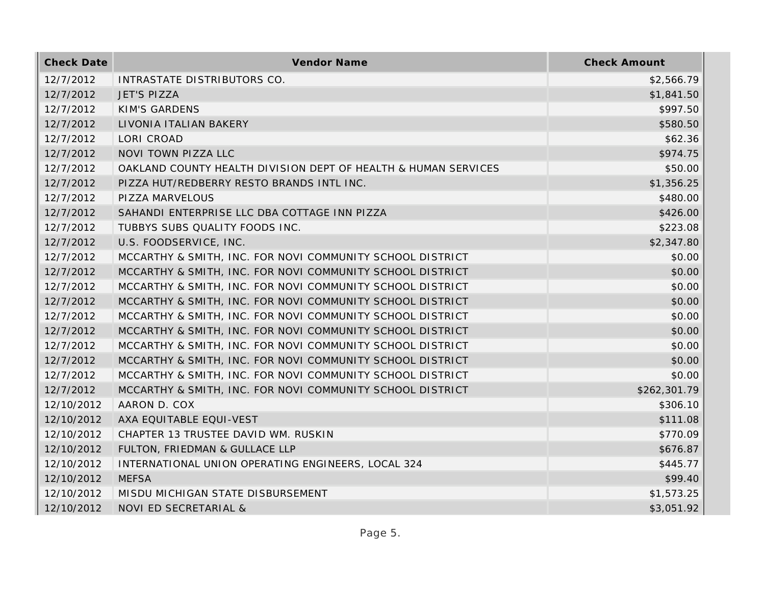| <b>Check Date</b> | Vendor Name                                                    | <b>Check Amount</b> |
|-------------------|----------------------------------------------------------------|---------------------|
| 12/7/2012         | INTRASTATE DISTRIBUTORS CO.                                    | \$2,566.79          |
| 12/7/2012         | <b>JET'S PIZZA</b>                                             | \$1,841.50          |
| 12/7/2012         | <b>KIM'S GARDENS</b>                                           | \$997.50            |
| 12/7/2012         | LIVONIA ITALIAN BAKERY                                         | \$580.50            |
| 12/7/2012         | LORI CROAD                                                     | \$62.36             |
| 12/7/2012         | NOVI TOWN PIZZA LLC                                            | \$974.75            |
| 12/7/2012         | OAKLAND COUNTY HEALTH DIVISION DEPT OF HEALTH & HUMAN SERVICES | \$50.00             |
| 12/7/2012         | PIZZA HUT/REDBERRY RESTO BRANDS INTL INC.                      | \$1,356.25          |
| 12/7/2012         | PIZZA MARVELOUS                                                | \$480.00            |
| 12/7/2012         | SAHANDI ENTERPRISE LLC DBA COTTAGE INN PIZZA                   | \$426.00            |
| 12/7/2012         | TUBBYS SUBS QUALITY FOODS INC.                                 | \$223.08            |
| 12/7/2012         | U.S. FOODSERVICE, INC.                                         | \$2,347.80          |
| 12/7/2012         | MCCARTHY & SMITH, INC. FOR NOVI COMMUNITY SCHOOL DISTRICT      | \$0.00              |
| 12/7/2012         | MCCARTHY & SMITH, INC. FOR NOVI COMMUNITY SCHOOL DISTRICT      | \$0.00              |
| 12/7/2012         | MCCARTHY & SMITH, INC. FOR NOVI COMMUNITY SCHOOL DISTRICT      | \$0.00              |
| 12/7/2012         | MCCARTHY & SMITH, INC. FOR NOVI COMMUNITY SCHOOL DISTRICT      | \$0.00              |
| 12/7/2012         | MCCARTHY & SMITH, INC. FOR NOVI COMMUNITY SCHOOL DISTRICT      | \$0.00              |
| 12/7/2012         | MCCARTHY & SMITH, INC. FOR NOVI COMMUNITY SCHOOL DISTRICT      | \$0.00              |
| 12/7/2012         | MCCARTHY & SMITH, INC. FOR NOVI COMMUNITY SCHOOL DISTRICT      | \$0.00              |
| 12/7/2012         | MCCARTHY & SMITH, INC. FOR NOVI COMMUNITY SCHOOL DISTRICT      | \$0.00              |
| 12/7/2012         | MCCARTHY & SMITH, INC. FOR NOVI COMMUNITY SCHOOL DISTRICT      | \$0.00              |
| 12/7/2012         | MCCARTHY & SMITH, INC. FOR NOVI COMMUNITY SCHOOL DISTRICT      | \$262,301.79        |
| 12/10/2012        | AARON D. COX                                                   | \$306.10            |
| 12/10/2012        | AXA EQUITABLE EQUI-VEST                                        | \$111.08            |
| 12/10/2012        | CHAPTER 13 TRUSTEE DAVID WM. RUSKIN                            | \$770.09            |
| 12/10/2012        | FULTON, FRIEDMAN & GULLACE LLP                                 | \$676.87            |
| 12/10/2012        | INTERNATIONAL UNION OPERATING ENGINEERS, LOCAL 324             | \$445.77            |
| 12/10/2012        | <b>MEFSA</b>                                                   | \$99.40             |
| 12/10/2012        | MISDU MICHIGAN STATE DISBURSEMENT                              | \$1,573.25          |
| 12/10/2012        | NOVI ED SECRETARIAL &                                          | \$3,051.92          |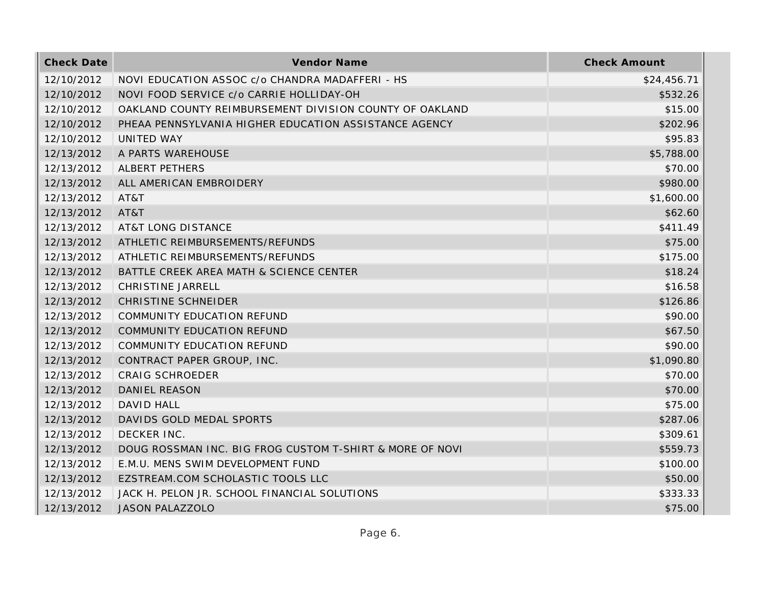| <b>Check Date</b> | Vendor Name                                              | <b>Check Amount</b> |
|-------------------|----------------------------------------------------------|---------------------|
| 12/10/2012        | NOVI EDUCATION ASSOC c/o CHANDRA MADAFFERI - HS          | \$24,456.71         |
| 12/10/2012        | NOVI FOOD SERVICE c/o CARRIE HOLLIDAY-OH                 | \$532.26            |
| 12/10/2012        | OAKLAND COUNTY REIMBURSEMENT DIVISION COUNTY OF OAKLAND  | \$15.00             |
| 12/10/2012        | PHEAA PENNSYLVANIA HIGHER EDUCATION ASSISTANCE AGENCY    | \$202.96            |
| 12/10/2012        | UNITED WAY                                               | \$95.83             |
| 12/13/2012        | A PARTS WAREHOUSE                                        | \$5,788.00          |
| 12/13/2012        | ALBERT PETHERS                                           | \$70.00             |
| 12/13/2012        | ALL AMERICAN EMBROIDERY                                  | \$980.00            |
| 12/13/2012        | AT&T                                                     | \$1,600.00          |
| 12/13/2012        | AT&T                                                     | \$62.60             |
| 12/13/2012        | <b>AT&amp;T LONG DISTANCE</b>                            | \$411.49            |
| 12/13/2012        | ATHLETIC REIMBURSEMENTS/REFUNDS                          | \$75.00             |
| 12/13/2012        | ATHLETIC REIMBURSEMENTS/REFUNDS                          | \$175.00            |
| 12/13/2012        | BATTLE CREEK AREA MATH & SCIENCE CENTER                  | \$18.24             |
| 12/13/2012        | CHRISTINE JARRELL                                        | \$16.58             |
| 12/13/2012        | <b>CHRISTINE SCHNEIDER</b>                               | \$126.86            |
| 12/13/2012        | <b>COMMUNITY EDUCATION REFUND</b>                        | \$90.00             |
| 12/13/2012        | <b>COMMUNITY EDUCATION REFUND</b>                        | \$67.50             |
| 12/13/2012        | COMMUNITY EDUCATION REFUND                               | \$90.00             |
| 12/13/2012        | CONTRACT PAPER GROUP, INC.                               | \$1,090.80          |
| 12/13/2012        | <b>CRAIG SCHROEDER</b>                                   | \$70.00             |
| 12/13/2012        | <b>DANIEL REASON</b>                                     | \$70.00             |
| 12/13/2012        | DAVID HALL                                               | \$75.00             |
| 12/13/2012        | DAVIDS GOLD MEDAL SPORTS                                 | \$287.06            |
| 12/13/2012        | DECKER INC.                                              | \$309.61            |
| 12/13/2012        | DOUG ROSSMAN INC. BIG FROG CUSTOM T-SHIRT & MORE OF NOVI | \$559.73            |
| 12/13/2012        | E.M.U. MENS SWIM DEVELOPMENT FUND                        | \$100.00            |
| 12/13/2012        | EZSTREAM.COM SCHOLASTIC TOOLS LLC                        | \$50.00             |
| 12/13/2012        | JACK H. PELON JR. SCHOOL FINANCIAL SOLUTIONS             | \$333.33            |
| 12/13/2012        | <b>JASON PALAZZOLO</b>                                   | \$75.00             |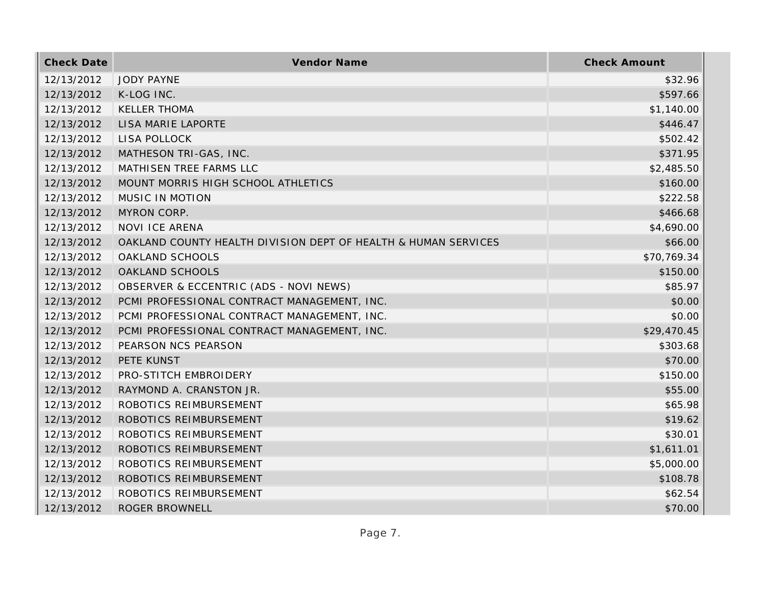| <b>Check Date</b> | Vendor Name                                                    | <b>Check Amount</b> |
|-------------------|----------------------------------------------------------------|---------------------|
| 12/13/2012        | <b>JODY PAYNE</b>                                              | \$32.96             |
| 12/13/2012        | K-LOG INC.                                                     | \$597.66            |
| 12/13/2012        | <b>KELLER THOMA</b>                                            | \$1,140.00          |
| 12/13/2012        | LISA MARIE LAPORTE                                             | \$446.47            |
| 12/13/2012        | LISA POLLOCK                                                   | \$502.42            |
| 12/13/2012        | MATHESON TRI-GAS, INC.                                         | \$371.95            |
| 12/13/2012        | MATHISEN TREE FARMS LLC                                        | \$2,485.50          |
| 12/13/2012        | MOUNT MORRIS HIGH SCHOOL ATHLETICS                             | \$160.00            |
| 12/13/2012        | MUSIC IN MOTION                                                | \$222.58            |
| 12/13/2012        | MYRON CORP.                                                    | \$466.68            |
| 12/13/2012        | <b>NOVI ICE ARENA</b>                                          | \$4,690.00          |
| 12/13/2012        | OAKLAND COUNTY HEALTH DIVISION DEPT OF HEALTH & HUMAN SERVICES | \$66.00             |
| 12/13/2012        | OAKLAND SCHOOLS                                                | \$70,769.34         |
| 12/13/2012        | OAKLAND SCHOOLS                                                | \$150.00            |
| 12/13/2012        | OBSERVER & ECCENTRIC (ADS - NOVI NEWS)                         | \$85.97             |
| 12/13/2012        | PCMI PROFESSIONAL CONTRACT MANAGEMENT, INC.                    | \$0.00              |
| 12/13/2012        | PCMI PROFESSIONAL CONTRACT MANAGEMENT, INC.                    | \$0.00              |
| 12/13/2012        | PCMI PROFESSIONAL CONTRACT MANAGEMENT, INC.                    | \$29,470.45         |
| 12/13/2012        | PEARSON NCS PEARSON                                            | \$303.68            |
| 12/13/2012        | PETE KUNST                                                     | \$70.00             |
| 12/13/2012        | PRO-STITCH EMBROIDERY                                          | \$150.00            |
| 12/13/2012        | RAYMOND A. CRANSTON JR.                                        | \$55.00             |
| 12/13/2012        | ROBOTICS REIMBURSEMENT                                         | \$65.98             |
| 12/13/2012        | ROBOTICS REIMBURSEMENT                                         | \$19.62             |
| 12/13/2012        | ROBOTICS REIMBURSEMENT                                         | \$30.01             |
| 12/13/2012        | ROBOTICS REIMBURSEMENT                                         | \$1,611.01          |
| 12/13/2012        | ROBOTICS REIMBURSEMENT                                         | \$5,000.00          |
| 12/13/2012        | ROBOTICS REIMBURSEMENT                                         | \$108.78            |
| 12/13/2012        | ROBOTICS REIMBURSEMENT                                         | \$62.54             |
| 12/13/2012        | ROGER BROWNELL                                                 | \$70.00             |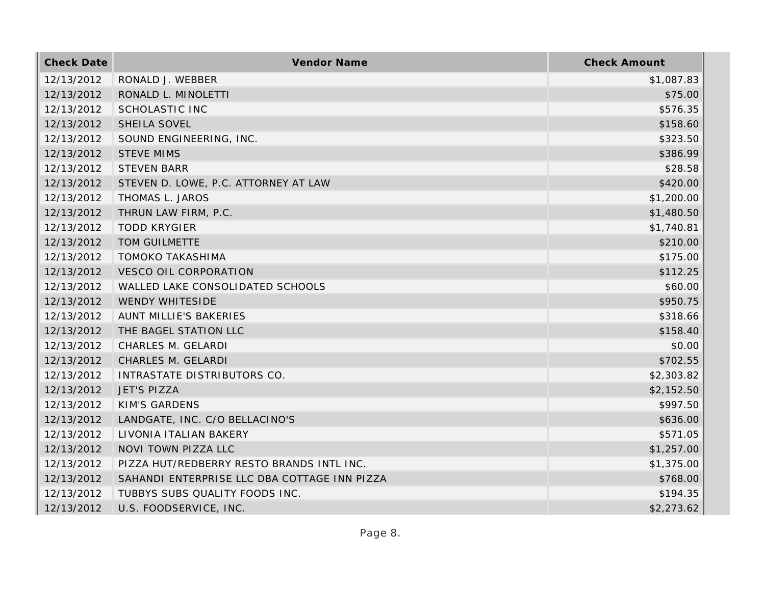| <b>Check Date</b> | Vendor Name                                  | <b>Check Amount</b> |
|-------------------|----------------------------------------------|---------------------|
| 12/13/2012        | RONALD J. WEBBER                             | \$1,087.83          |
| 12/13/2012        | RONALD L. MINOLETTI                          | \$75.00             |
| 12/13/2012        | <b>SCHOLASTIC INC</b>                        | \$576.35            |
| 12/13/2012        | SHEILA SOVEL                                 | \$158.60            |
| 12/13/2012        | SOUND ENGINEERING, INC.                      | \$323.50            |
| 12/13/2012        | <b>STEVE MIMS</b>                            | \$386.99            |
| 12/13/2012        | <b>STEVEN BARR</b>                           | \$28.58             |
| 12/13/2012        | STEVEN D. LOWE, P.C. ATTORNEY AT LAW         | \$420.00            |
| 12/13/2012        | THOMAS L. JAROS                              | \$1,200.00          |
| 12/13/2012        | THRUN LAW FIRM, P.C.                         | \$1,480.50          |
| 12/13/2012        | <b>TODD KRYGIER</b>                          | \$1,740.81          |
| 12/13/2012        | TOM GUILMETTE                                | \$210.00            |
| 12/13/2012        | <b>TOMOKO TAKASHIMA</b>                      | \$175.00            |
| 12/13/2012        | <b>VESCO OIL CORPORATION</b>                 | \$112.25            |
| 12/13/2012        | WALLED LAKE CONSOLIDATED SCHOOLS             | \$60.00             |
| 12/13/2012        | <b>WENDY WHITESIDE</b>                       | \$950.75            |
| 12/13/2012        | <b>AUNT MILLIE'S BAKERIES</b>                | \$318.66            |
| 12/13/2012        | THE BAGEL STATION LLC                        | \$158.40            |
| 12/13/2012        | CHARLES M. GELARDI                           | \$0.00              |
| 12/13/2012        | CHARLES M. GELARDI                           | \$702.55            |
| 12/13/2012        | INTRASTATE DISTRIBUTORS CO.                  | \$2,303.82          |
| 12/13/2012        | <b>JET'S PIZZA</b>                           | \$2,152.50          |
| 12/13/2012        | <b>KIM'S GARDENS</b>                         | \$997.50            |
| 12/13/2012        | LANDGATE, INC. C/O BELLACINO'S               | \$636.00            |
| 12/13/2012        | LIVONIA ITALIAN BAKERY                       | \$571.05            |
| 12/13/2012        | NOVI TOWN PIZZA LLC                          | \$1,257.00          |
| 12/13/2012        | PIZZA HUT/REDBERRY RESTO BRANDS INTL INC.    | \$1,375.00          |
| 12/13/2012        | SAHANDI ENTERPRISE LLC DBA COTTAGE INN PIZZA | \$768.00            |
| 12/13/2012        | TUBBYS SUBS QUALITY FOODS INC.               | \$194.35            |
| 12/13/2012        | U.S. FOODSERVICE, INC.                       | \$2,273.62          |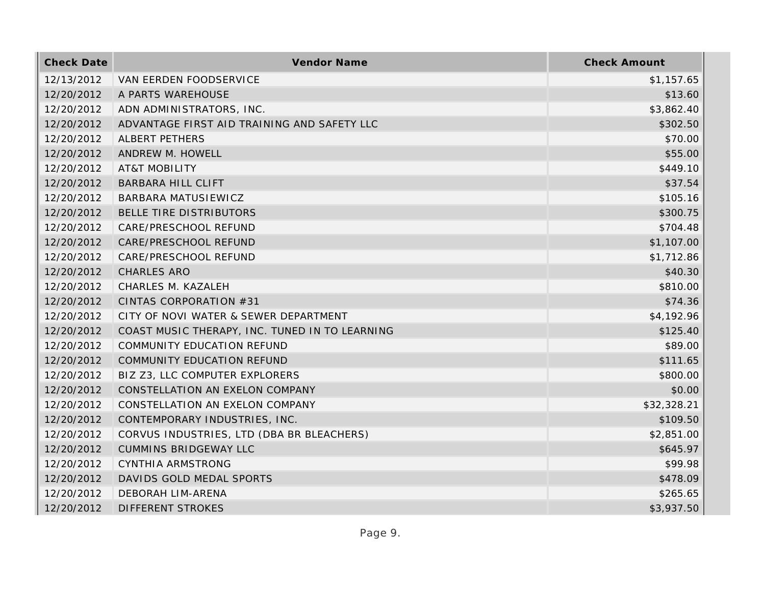| <b>Check Date</b> | <b>Vendor Name</b>                             | <b>Check Amount</b> |
|-------------------|------------------------------------------------|---------------------|
| 12/13/2012        | VAN EERDEN FOODSERVICE                         | \$1,157.65          |
| 12/20/2012        | A PARTS WAREHOUSE                              | \$13.60             |
| 12/20/2012        | ADN ADMINISTRATORS, INC.                       | \$3,862.40          |
| 12/20/2012        | ADVANTAGE FIRST AID TRAINING AND SAFETY LLC    | \$302.50            |
| 12/20/2012        | ALBERT PETHERS                                 | \$70.00             |
| 12/20/2012        | ANDREW M. HOWELL                               | \$55.00             |
| 12/20/2012        | <b>AT&amp;T MOBILITY</b>                       | \$449.10            |
| 12/20/2012        | <b>BARBARA HILL CLIFT</b>                      | \$37.54             |
| 12/20/2012        | BARBARA MATUSIEWICZ                            | \$105.16            |
| 12/20/2012        | BELLE TIRE DISTRIBUTORS                        | \$300.75            |
| 12/20/2012        | CARE/PRESCHOOL REFUND                          | \$704.48            |
| 12/20/2012        | CARE/PRESCHOOL REFUND                          | \$1,107.00          |
| 12/20/2012        | CARE/PRESCHOOL REFUND                          | \$1,712.86          |
| 12/20/2012        | <b>CHARLES ARO</b>                             | \$40.30             |
| 12/20/2012        | CHARLES M. KAZALEH                             | \$810.00            |
| 12/20/2012        | CINTAS CORPORATION #31                         | \$74.36             |
| 12/20/2012        | CITY OF NOVI WATER & SEWER DEPARTMENT          | \$4,192.96          |
| 12/20/2012        | COAST MUSIC THERAPY, INC. TUNED IN TO LEARNING | \$125.40            |
| 12/20/2012        | COMMUNITY EDUCATION REFUND                     | \$89.00             |
| 12/20/2012        | COMMUNITY EDUCATION REFUND                     | \$111.65            |
| 12/20/2012        | BIZ Z3, LLC COMPUTER EXPLORERS                 | \$800.00            |
| 12/20/2012        | CONSTELLATION AN EXELON COMPANY                | \$0.00              |
| 12/20/2012        | CONSTELLATION AN EXELON COMPANY                | \$32,328.21         |
| 12/20/2012        | CONTEMPORARY INDUSTRIES, INC.                  | \$109.50            |
| 12/20/2012        | CORVUS INDUSTRIES, LTD (DBA BR BLEACHERS)      | \$2,851.00          |
| 12/20/2012        | <b>CUMMINS BRIDGEWAY LLC</b>                   | \$645.97            |
| 12/20/2012        | CYNTHIA ARMSTRONG                              | \$99.98             |
| 12/20/2012        | DAVIDS GOLD MEDAL SPORTS                       | \$478.09            |
| 12/20/2012        | DEBORAH LIM-ARENA                              | \$265.65            |
| 12/20/2012        | DIFFERENT STROKES                              | \$3,937.50          |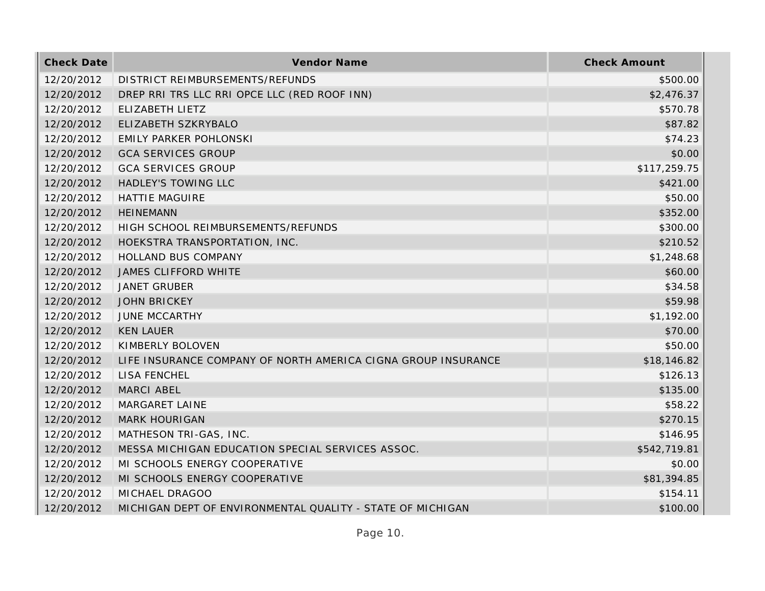| <b>Check Date</b> | <b>Vendor Name</b>                                            | <b>Check Amount</b> |
|-------------------|---------------------------------------------------------------|---------------------|
| 12/20/2012        | DISTRICT REIMBURSEMENTS/REFUNDS                               | \$500.00            |
| 12/20/2012        | DREP RRI TRS LLC RRI OPCE LLC (RED ROOF INN)                  | \$2,476.37          |
| 12/20/2012        | ELIZABETH LIETZ                                               | \$570.78            |
| 12/20/2012        | ELIZABETH SZKRYBALO                                           | \$87.82             |
| 12/20/2012        | <b>EMILY PARKER POHLONSKI</b>                                 | \$74.23             |
| 12/20/2012        | <b>GCA SERVICES GROUP</b>                                     | \$0.00              |
| 12/20/2012        | <b>GCA SERVICES GROUP</b>                                     | \$117,259.75        |
| 12/20/2012        | <b>HADLEY'S TOWING LLC</b>                                    | \$421.00            |
| 12/20/2012        | <b>HATTIE MAGUIRE</b>                                         | \$50.00             |
| 12/20/2012        | <b>HEINEMANN</b>                                              | \$352.00            |
| 12/20/2012        | HIGH SCHOOL REIMBURSEMENTS/REFUNDS                            | \$300.00            |
| 12/20/2012        | HOEKSTRA TRANSPORTATION, INC.                                 | \$210.52            |
| 12/20/2012        | HOLLAND BUS COMPANY                                           | \$1,248.68          |
| 12/20/2012        | <b>JAMES CLIFFORD WHITE</b>                                   | \$60.00             |
| 12/20/2012        | <b>JANET GRUBER</b>                                           | \$34.58             |
| 12/20/2012        | <b>JOHN BRICKEY</b>                                           | \$59.98             |
| 12/20/2012        | <b>JUNE MCCARTHY</b>                                          | \$1,192.00          |
| 12/20/2012        | <b>KEN LAUER</b>                                              | \$70.00             |
| 12/20/2012        | KIMBERLY BOLOVEN                                              | \$50.00             |
| 12/20/2012        | LIFE INSURANCE COMPANY OF NORTH AMERICA CIGNA GROUP INSURANCE | \$18,146.82         |
| 12/20/2012        | LISA FENCHEL                                                  | \$126.13            |
| 12/20/2012        | <b>MARCI ABEL</b>                                             | \$135.00            |
| 12/20/2012        | <b>MARGARET LAINE</b>                                         | \$58.22             |
| 12/20/2012        | <b>MARK HOURIGAN</b>                                          | \$270.15            |
| 12/20/2012        | MATHESON TRI-GAS, INC.                                        | \$146.95            |
| 12/20/2012        | MESSA MICHIGAN EDUCATION SPECIAL SERVICES ASSOC.              | \$542,719.81        |
| 12/20/2012        | MI SCHOOLS ENERGY COOPERATIVE                                 | \$0.00              |
| 12/20/2012        | MI SCHOOLS ENERGY COOPERATIVE                                 | \$81,394.85         |
| 12/20/2012        | MICHAEL DRAGOO                                                | \$154.11            |
| 12/20/2012        | MICHIGAN DEPT OF ENVIRONMENTAL QUALITY - STATE OF MICHIGAN    | \$100.00            |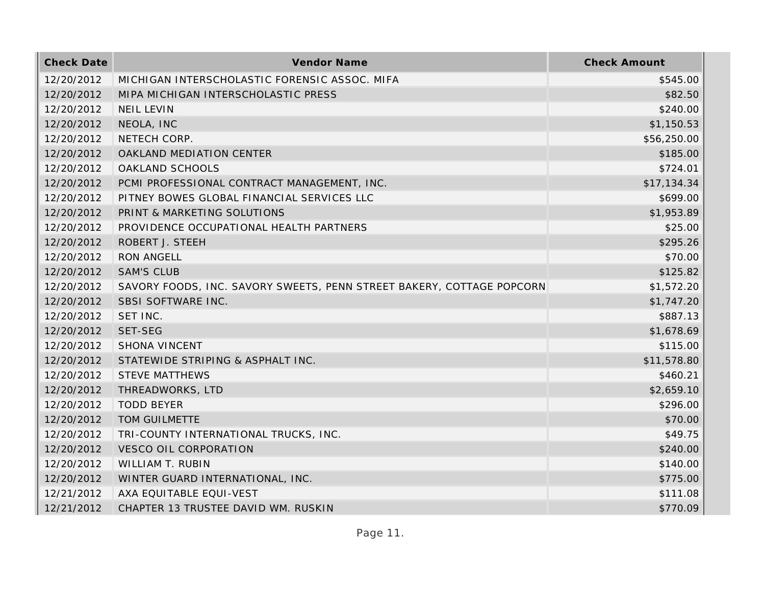| <b>Check Date</b> | Vendor Name                                                           | <b>Check Amount</b> |
|-------------------|-----------------------------------------------------------------------|---------------------|
| 12/20/2012        | MICHIGAN INTERSCHOLASTIC FORENSIC ASSOC. MIFA                         | \$545.00            |
| 12/20/2012        | MIPA MICHIGAN INTERSCHOLASTIC PRESS                                   | \$82.50             |
| 12/20/2012        | <b>NEIL LEVIN</b>                                                     | \$240.00            |
| 12/20/2012        | NEOLA, INC                                                            | \$1,150.53          |
| 12/20/2012        | NETECH CORP.                                                          | \$56,250.00         |
| 12/20/2012        | OAKLAND MEDIATION CENTER                                              | \$185.00            |
| 12/20/2012        | OAKLAND SCHOOLS                                                       | \$724.01            |
| 12/20/2012        | PCMI PROFESSIONAL CONTRACT MANAGEMENT, INC.                           | \$17,134.34         |
| 12/20/2012        | PITNEY BOWES GLOBAL FINANCIAL SERVICES LLC                            | \$699.00            |
| 12/20/2012        | PRINT & MARKETING SOLUTIONS                                           | \$1,953.89          |
| 12/20/2012        | PROVIDENCE OCCUPATIONAL HEALTH PARTNERS                               | \$25.00             |
| 12/20/2012        | ROBERT J. STEEH                                                       | \$295.26            |
| 12/20/2012        | <b>RON ANGELL</b>                                                     | \$70.00             |
| 12/20/2012        | <b>SAM'S CLUB</b>                                                     | \$125.82            |
| 12/20/2012        | SAVORY FOODS, INC. SAVORY SWEETS, PENN STREET BAKERY, COTTAGE POPCORN | \$1,572.20          |
| 12/20/2012        | SBSI SOFTWARE INC.                                                    | \$1,747.20          |
| 12/20/2012        | SET INC.                                                              | \$887.13            |
| 12/20/2012        | SET-SEG                                                               | \$1,678.69          |
| 12/20/2012        | <b>SHONA VINCENT</b>                                                  | \$115.00            |
| 12/20/2012        | STATEWIDE STRIPING & ASPHALT INC.                                     | \$11,578.80         |
| 12/20/2012        | <b>STEVE MATTHEWS</b>                                                 | \$460.21            |
| 12/20/2012        | THREADWORKS, LTD                                                      | \$2,659.10          |
| 12/20/2012        | <b>TODD BEYER</b>                                                     | \$296.00            |
| 12/20/2012        | TOM GUILMETTE                                                         | \$70.00             |
| 12/20/2012        | TRI-COUNTY INTERNATIONAL TRUCKS, INC.                                 | \$49.75             |
| 12/20/2012        | <b>VESCO OIL CORPORATION</b>                                          | \$240.00            |
| 12/20/2012        | WILLIAM T. RUBIN                                                      | \$140.00            |
| 12/20/2012        | WINTER GUARD INTERNATIONAL, INC.                                      | \$775.00            |
| 12/21/2012        | AXA EQUITABLE EQUI-VEST                                               | \$111.08            |
| 12/21/2012        | CHAPTER 13 TRUSTEE DAVID WM. RUSKIN                                   | \$770.09            |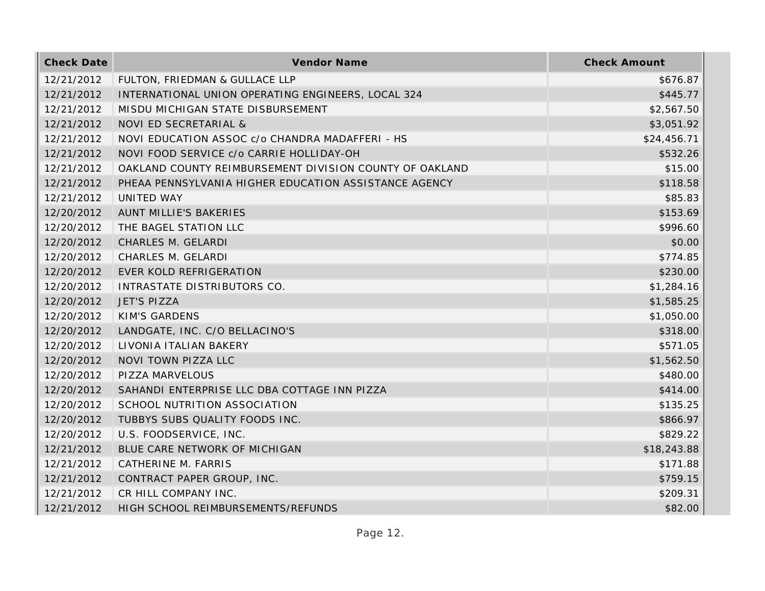| <b>Check Date</b> | Vendor Name                                             | <b>Check Amount</b> |
|-------------------|---------------------------------------------------------|---------------------|
| 12/21/2012        | FULTON, FRIEDMAN & GULLACE LLP                          | \$676.87            |
| 12/21/2012        | INTERNATIONAL UNION OPERATING ENGINEERS, LOCAL 324      | \$445.77            |
| 12/21/2012        | MISDU MICHIGAN STATE DISBURSEMENT                       | \$2,567.50          |
| 12/21/2012        | NOVI ED SECRETARIAL &                                   | \$3,051.92          |
| 12/21/2012        | NOVI EDUCATION ASSOC c/o CHANDRA MADAFFERI - HS         | \$24,456.71         |
| 12/21/2012        | NOVI FOOD SERVICE c/o CARRIE HOLLIDAY-OH                | \$532.26            |
| 12/21/2012        | OAKLAND COUNTY REIMBURSEMENT DIVISION COUNTY OF OAKLAND | \$15.00             |
| 12/21/2012        | PHEAA PENNSYLVANIA HIGHER EDUCATION ASSISTANCE AGENCY   | \$118.58            |
| 12/21/2012        | UNITED WAY                                              | \$85.83             |
| 12/20/2012        | AUNT MILLIE'S BAKERIES                                  | \$153.69            |
| 12/20/2012        | THE BAGEL STATION LLC                                   | \$996.60            |
| 12/20/2012        | CHARLES M. GELARDI                                      | \$0.00              |
| 12/20/2012        | CHARLES M. GELARDI                                      | \$774.85            |
| 12/20/2012        | EVER KOLD REFRIGERATION                                 | \$230.00            |
| 12/20/2012        | INTRASTATE DISTRIBUTORS CO.                             | \$1,284.16          |
| 12/20/2012        | <b>JET'S PIZZA</b>                                      | \$1,585.25          |
| 12/20/2012        | <b>KIM'S GARDENS</b>                                    | \$1,050.00          |
| 12/20/2012        | LANDGATE, INC. C/O BELLACINO'S                          | \$318.00            |
| 12/20/2012        | LIVONIA ITALIAN BAKERY                                  | \$571.05            |
| 12/20/2012        | NOVI TOWN PIZZA LLC                                     | \$1,562.50          |
| 12/20/2012        | PIZZA MARVELOUS                                         | \$480.00            |
| 12/20/2012        | SAHANDI ENTERPRISE LLC DBA COTTAGE INN PIZZA            | \$414.00            |
| 12/20/2012        | SCHOOL NUTRITION ASSOCIATION                            | \$135.25            |
| 12/20/2012        | TUBBYS SUBS QUALITY FOODS INC.                          | \$866.97            |
| 12/20/2012        | U.S. FOODSERVICE, INC.                                  | \$829.22            |
| 12/21/2012        | BLUE CARE NETWORK OF MICHIGAN                           | \$18,243.88         |
| 12/21/2012        | CATHERINE M. FARRIS                                     | \$171.88            |
| 12/21/2012        | CONTRACT PAPER GROUP, INC.                              | \$759.15            |
| 12/21/2012        | CR HILL COMPANY INC.                                    | \$209.31            |
| 12/21/2012        | HIGH SCHOOL REIMBURSEMENTS/REFUNDS                      | \$82.00             |